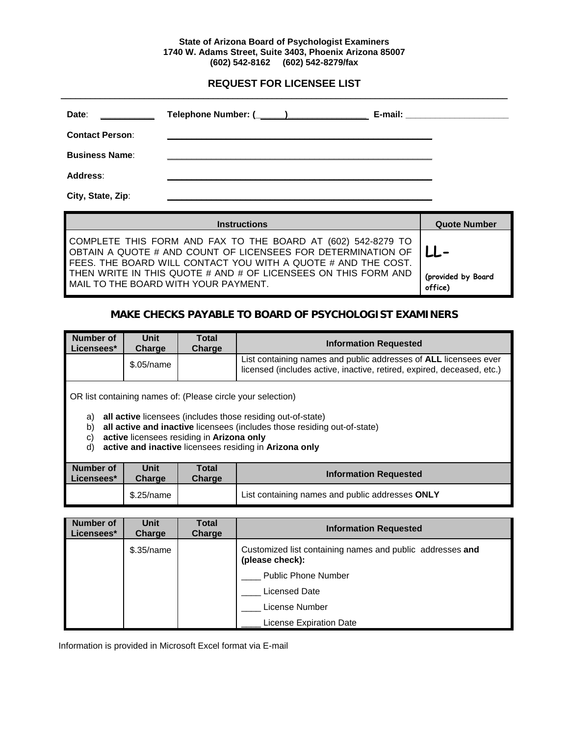### **State of Arizona Board of Psychologist Examiners 1740 W. Adams Street, Suite 3403, Phoenix Arizona 85007 (602) 542-8162 (602) 542-8279/fax**

# **REQUEST FOR LICENSEE LIST**

| Date:                  | Telephone Number: (______)                                                                                           | E-mail: _______________________ |
|------------------------|----------------------------------------------------------------------------------------------------------------------|---------------------------------|
| <b>Contact Person:</b> | <u> 1989 - Andrea Santa Andrea Santa Andrea Santa Andrea Santa Andrea Santa Andrea Santa Andrea Santa Andrea San</u> |                                 |
| <b>Business Name:</b>  |                                                                                                                      |                                 |
| <b>Address:</b>        |                                                                                                                      |                                 |
| City, State, Zip:      |                                                                                                                      |                                 |

| <b>Instructions</b>                                                                                                                                                                           | <b>Quote Number</b>           |
|-----------------------------------------------------------------------------------------------------------------------------------------------------------------------------------------------|-------------------------------|
| COMPLETE THIS FORM AND FAX TO THE BOARD AT (602) 542-8279 TO<br>OBTAIN A QUOTE # AND COUNT OF LICENSEES FOR DETERMINATION OF<br>FEES. THE BOARD WILL CONTACT YOU WITH A QUOTE # AND THE COST. | $LL -$                        |
| THEN WRITE IN THIS QUOTE # AND # OF LICENSEES ON THIS FORM AND<br>MAIL TO THE BOARD WITH YOUR PAYMENT.                                                                                        | (provided by Board<br>office) |

# **MAKE CHECKS PAYABLE TO BOARD OF PSYCHOLOGIST EXAMINERS**

| Number of<br>Licensees*                                                                                                                                                                                                                                                                                                               | Unit<br>Charge | <b>Total</b><br>Charge | <b>Information Requested</b>                                                                                                                      |  |  |
|---------------------------------------------------------------------------------------------------------------------------------------------------------------------------------------------------------------------------------------------------------------------------------------------------------------------------------------|----------------|------------------------|---------------------------------------------------------------------------------------------------------------------------------------------------|--|--|
|                                                                                                                                                                                                                                                                                                                                       | \$.05/name     |                        | List containing names and public addresses of <b>ALL</b> licensees ever<br>licensed (includes active, inactive, retired, expired, deceased, etc.) |  |  |
| OR list containing names of: (Please circle your selection)<br>all active licensees (includes those residing out-of-state)<br>a)<br>all active and inactive licensees (includes those residing out-of-state)<br>b)<br>active licensees residing in Arizona only<br>C)<br>active and inactive licensees residing in Arizona only<br>d) |                |                        |                                                                                                                                                   |  |  |
| Number of<br>Licensees*                                                                                                                                                                                                                                                                                                               | Unit<br>Charge | Total<br>Charge        | <b>Information Requested</b>                                                                                                                      |  |  |
|                                                                                                                                                                                                                                                                                                                                       | \$.25/name     |                        | List containing names and public addresses ONLY                                                                                                   |  |  |

| <b>Number of</b><br>Licensees* | <b>Unit</b><br>Charge | Total<br>Charge | <b>Information Requested</b>                                                 |
|--------------------------------|-----------------------|-----------------|------------------------------------------------------------------------------|
|                                | \$.35/name            |                 | Customized list containing names and public addresses and<br>(please check): |
|                                |                       |                 | <b>Public Phone Number</b>                                                   |
|                                |                       |                 | Licensed Date                                                                |
|                                |                       |                 | License Number                                                               |
|                                |                       |                 | <b>License Expiration Date</b>                                               |

Information is provided in Microsoft Excel format via E-mail